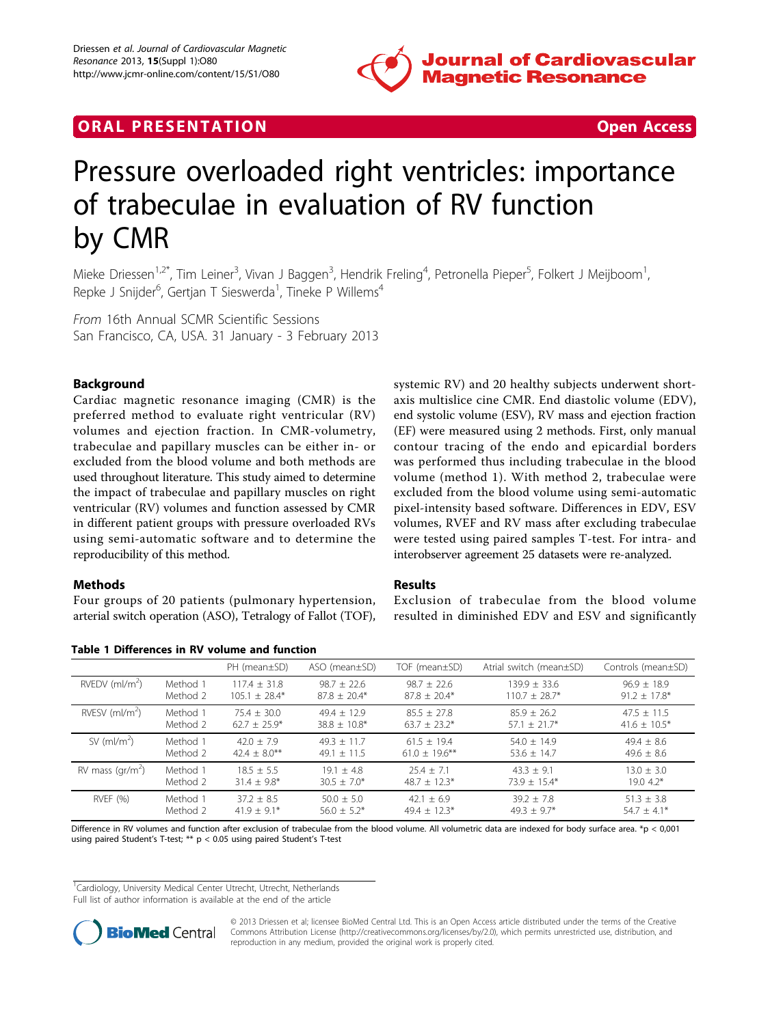

## **ORAL PRESENTATION CONSUMING ACCESS**



# Pressure overloaded right ventricles: importance of trabeculae in evaluation of RV function by CMR

Mieke Driessen<sup>1,2\*</sup>, Tim Leiner<sup>3</sup>, Vivan J Baggen<sup>3</sup>, Hendrik Freling<sup>4</sup>, Petronella Pieper<sup>5</sup>, Folkert J Meijboom<sup>1</sup> , Repke J Snijder<sup>6</sup>, Gertjan T Sieswerda<sup>1</sup>, Tineke P Willems<sup>4</sup>

From 16th Annual SCMR Scientific Sessions San Francisco, CA, USA. 31 January - 3 February 2013

### Background

Cardiac magnetic resonance imaging (CMR) is the preferred method to evaluate right ventricular (RV) volumes and ejection fraction. In CMR-volumetry, trabeculae and papillary muscles can be either in- or excluded from the blood volume and both methods are used throughout literature. This study aimed to determine the impact of trabeculae and papillary muscles on right ventricular (RV) volumes and function assessed by CMR in different patient groups with pressure overloaded RVs using semi-automatic software and to determine the reproducibility of this method.

#### Methods

Four groups of 20 patients (pulmonary hypertension, arterial switch operation (ASO), Tetralogy of Fallot (TOF),

| Table 1 Differences in RV volume and function |  |  |  |  |
|-----------------------------------------------|--|--|--|--|
|-----------------------------------------------|--|--|--|--|

systemic RV) and 20 healthy subjects underwent shortaxis multislice cine CMR. End diastolic volume (EDV), end systolic volume (ESV), RV mass and ejection fraction (EF) were measured using 2 methods. First, only manual contour tracing of the endo and epicardial borders was performed thus including trabeculae in the blood volume (method 1). With method 2, trabeculae were excluded from the blood volume using semi-automatic pixel-intensity based software. Differences in EDV, ESV volumes, RVEF and RV mass after excluding trabeculae were tested using paired samples T-test. For intra- and interobserver agreement 25 datasets were re-analyzed.

#### Results

Exclusion of trabeculae from the blood volume resulted in diminished EDV and ESV and significantly

|                              |          | PH (mean±SD)     | $ASO$ (mean $\pm SD$ ) | TOF (mean±SD)    | Atrial switch (mean±SD) | Controls (mean±SD) |
|------------------------------|----------|------------------|------------------------|------------------|-------------------------|--------------------|
| $RVEDV$ (ml/m <sup>2</sup> ) | Method 1 | $117.4 + 31.8$   | $98.7 + 22.6$          | $98.7 + 22.6$    | $139.9 + 33.6$          | $96.9 + 18.9$      |
|                              | Method 2 | $105.1 + 28.4*$  | $87.8 + 20.4*$         | $87.8 + 20.4*$   | $110.7 + 28.7*$         | $91.2 \pm 17.8$ *  |
| RVESV $(mI/m2)$              | Method 1 | $75.4 + 30.0$    | $49.4 + 12.9$          | $85.5 + 27.8$    | $85.9 + 26.2$           | $47.5 + 11.5$      |
|                              | Method 2 | $62.7 + 25.9*$   | $38.8 + 10.8*$         | $63.7 + 23.2*$   | $57.1 + 21.7*$          | $41.6 \pm 10.5^*$  |
| SV $(mI/m2)$                 | Method 1 | $42.0 + 7.9$     | $49.3 + 11.7$          | $61.5 + 19.4$    | $54.0 + 14.9$           | $49.4 \pm 8.6$     |
|                              | Method 2 | $42.4 + 8.0***$  | $49.1 + 11.5$          | $61.0 + 19.6$ ** | 53.6 $\pm$ 14.7         | $49.6 \pm 8.6$     |
| RV mass $\frac{gr}{m^2}$     | Method 1 | $18.5 + 5.5$     | $19.1 + 4.8$           | $25.4 + 7.1$     | $43.3 + 9.1$            | $13.0 \pm 3.0$     |
|                              | Method 2 | $31.4 \pm 9.8^*$ | $30.5 + 7.0*$          | $48.7 \pm 12.3*$ | $73.9 \pm 15.4*$        | $19.04.2*$         |
| RVEF (%)                     | Method 1 | $37.2 + 8.5$     | $50.0 + 5.0$           | $42.1 + 6.9$     | $39.2 + 7.8$            | $51.3 \pm 3.8$     |
|                              | Method 2 | $41.9 + 9.1*$    | $56.0 + 5.2*$          | $49.4 + 12.3*$   | $49.3 + 9.7*$           | $54.7 + 4.1*$      |

Difference in RV volumes and function after exclusion of trabeculae from the blood volume. All volumetric data are indexed for body surface area. \*p < 0,001 using paired Student's T-test; \*\* p < 0.05 using paired Student's T-test

<sup>1</sup>Cardiology, University Medical Center Utrecht, Utrecht, Netherlands

Full list of author information is available at the end of the article



© 2013 Driessen et al; licensee BioMed Central Ltd. This is an Open Access article distributed under the terms of the Creative Commons Attribution License [\(http://creativecommons.org/licenses/by/2.0](http://creativecommons.org/licenses/by/2.0)), which permits unrestricted use, distribution, and reproduction in any medium, provided the original work is properly cited.